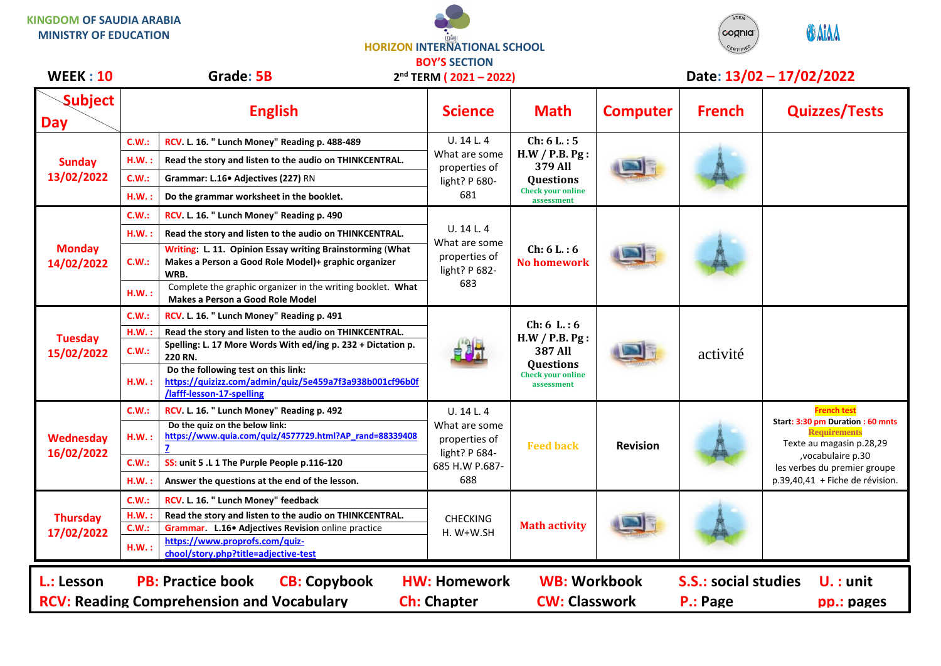## **KINGDOM OF SAUDIA ARABIA MINISTRY OF EDUCATION**

**HORIZON INTERNATIONAL SCHOOL BOY'S SECTION**



| <b>WEEK: 10</b>                                                                                                                                                                                                                                                                       | Grade: 5B     |                                                                                                                                    | 2 <sup>nd</sup> TERM (2021-2022)                                                       |                                                                                                               |                 | Date: 13/02 - 17/02/2022 |                                                                                                                                                                                                     |  |
|---------------------------------------------------------------------------------------------------------------------------------------------------------------------------------------------------------------------------------------------------------------------------------------|---------------|------------------------------------------------------------------------------------------------------------------------------------|----------------------------------------------------------------------------------------|---------------------------------------------------------------------------------------------------------------|-----------------|--------------------------|-----------------------------------------------------------------------------------------------------------------------------------------------------------------------------------------------------|--|
| <b>Subject</b><br>Day                                                                                                                                                                                                                                                                 |               | <b>English</b>                                                                                                                     | <b>Science</b>                                                                         | <b>Math</b>                                                                                                   | <b>Computer</b> | <b>French</b>            | <b>Quizzes/Tests</b>                                                                                                                                                                                |  |
| <b>Sunday</b><br>13/02/2022                                                                                                                                                                                                                                                           | C.W.:         | RCV. L. 16. " Lunch Money" Reading p. 488-489                                                                                      | U. 14 L. 4<br>What are some<br>properties of<br>light? P 680-<br>681                   | Ch: 6 L: 5<br>H.W / P.B. Pg:<br>379 All<br><b>Questions</b><br><b>Check your online</b><br>assessment         |                 |                          |                                                                                                                                                                                                     |  |
|                                                                                                                                                                                                                                                                                       | H.W.          | Read the story and listen to the audio on THINKCENTRAL.                                                                            |                                                                                        |                                                                                                               |                 |                          |                                                                                                                                                                                                     |  |
|                                                                                                                                                                                                                                                                                       | C.W.:         | Grammar: L.16• Adjectives (227) RN                                                                                                 |                                                                                        |                                                                                                               |                 |                          |                                                                                                                                                                                                     |  |
|                                                                                                                                                                                                                                                                                       | H.W.          | Do the grammar worksheet in the booklet.                                                                                           |                                                                                        |                                                                                                               |                 |                          |                                                                                                                                                                                                     |  |
| <b>Monday</b><br>14/02/2022                                                                                                                                                                                                                                                           | C.W.:         | RCV. L. 16. " Lunch Money" Reading p. 490                                                                                          | U. 14 L. 4<br>What are some<br>properties of<br>light? P 682-<br>683                   | Ch: 6 L: 6<br><b>No homework</b>                                                                              |                 |                          |                                                                                                                                                                                                     |  |
|                                                                                                                                                                                                                                                                                       | H.W.:         | Read the story and listen to the audio on THINKCENTRAL.                                                                            |                                                                                        |                                                                                                               |                 |                          |                                                                                                                                                                                                     |  |
|                                                                                                                                                                                                                                                                                       | C.W.:         | Writing: L. 11. Opinion Essay writing Brainstorming (What<br>Makes a Person a Good Role Model)+ graphic organizer<br>WRB.          |                                                                                        |                                                                                                               |                 |                          |                                                                                                                                                                                                     |  |
|                                                                                                                                                                                                                                                                                       | H.W.:         | Complete the graphic organizer in the writing booklet. What<br>Makes a Person a Good Role Model                                    |                                                                                        |                                                                                                               |                 |                          |                                                                                                                                                                                                     |  |
| <b>Tuesday</b><br>15/02/2022                                                                                                                                                                                                                                                          | C.W.:         | RCV. L. 16. " Lunch Money" Reading p. 491                                                                                          |                                                                                        | Ch: 6 L: 6<br>H.W / P.B. P.g.<br><b>387 All</b><br><b>Questions</b><br><b>Check your online</b><br>assessment |                 | activité                 |                                                                                                                                                                                                     |  |
|                                                                                                                                                                                                                                                                                       | H.W.<br>C.W.: | Read the story and listen to the audio on THINKCENTRAL.<br>Spelling: L. 17 More Words With ed/ing p. 232 + Dictation p.<br>220 RN. |                                                                                        |                                                                                                               |                 |                          |                                                                                                                                                                                                     |  |
|                                                                                                                                                                                                                                                                                       | H.W.:         | Do the following test on this link:<br>https://quizizz.com/admin/quiz/5e459a7f3a938b001cf96b0f<br>/lafff-lesson-17-spelling        |                                                                                        |                                                                                                               |                 |                          |                                                                                                                                                                                                     |  |
| <b>Wednesday</b><br>16/02/2022                                                                                                                                                                                                                                                        | C.W.:         | RCV. L. 16. " Lunch Money" Reading p. 492                                                                                          | U. 14 L. 4<br>What are some<br>properties of<br>light? P 684-<br>685 H.W P.687-<br>688 | <b>Feed back</b>                                                                                              | <b>Revision</b> |                          | <b>French test</b><br>Start: 3:30 pm Duration : 60 mnts<br><b>Requirements</b><br>Texte au magasin p.28,29<br>, vocabulaire p.30<br>les verbes du premier groupe<br>p.39,40,41 + Fiche de révision. |  |
|                                                                                                                                                                                                                                                                                       | H.W.:         | Do the quiz on the below link:<br>https://www.quia.com/quiz/4577729.html?AP rand=88339408                                          |                                                                                        |                                                                                                               |                 |                          |                                                                                                                                                                                                     |  |
|                                                                                                                                                                                                                                                                                       | C.W.:         | SS: unit 5 .L 1 The Purple People p.116-120                                                                                        |                                                                                        |                                                                                                               |                 |                          |                                                                                                                                                                                                     |  |
|                                                                                                                                                                                                                                                                                       | H.W.:         | Answer the questions at the end of the lesson.                                                                                     |                                                                                        |                                                                                                               |                 |                          |                                                                                                                                                                                                     |  |
| <b>Thursday</b><br>17/02/2022                                                                                                                                                                                                                                                         | C.W.:         | RCV. L. 16. " Lunch Money" feedback                                                                                                | <b>CHECKING</b><br>H. W+W.SH                                                           | <b>Math activity</b>                                                                                          |                 |                          |                                                                                                                                                                                                     |  |
|                                                                                                                                                                                                                                                                                       | H.W.<br>C.W.: | Read the story and listen to the audio on THINKCENTRAL.                                                                            |                                                                                        |                                                                                                               |                 |                          |                                                                                                                                                                                                     |  |
|                                                                                                                                                                                                                                                                                       | H.W.:         | Grammar. L.16. Adjectives Revision online practice<br>https://www.proprofs.com/quiz-<br>chool/story.php?title=adjective-test       |                                                                                        |                                                                                                               |                 |                          |                                                                                                                                                                                                     |  |
| <b>S.S.: social studies</b><br><b>PB: Practice book</b><br><b>CB: Copybook</b><br><b>HW: Homework</b><br><b>WB: Workbook</b><br>$U.$ : unit<br>L.: Lesson<br><b>RCV: Reading Comprehension and Vocabulary</b><br><b>Ch: Chapter</b><br><b>CW: Classwork</b><br>P.: Page<br>pp.: pages |               |                                                                                                                                    |                                                                                        |                                                                                                               |                 |                          |                                                                                                                                                                                                     |  |